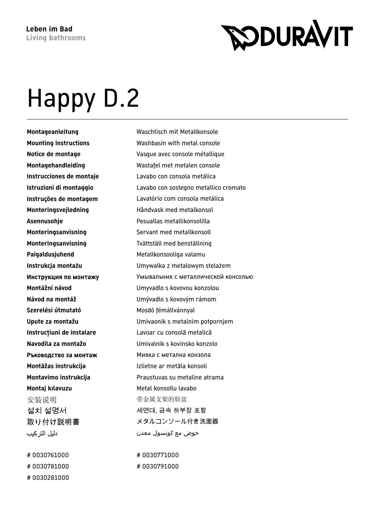## **RODURAVIT**

## Happy D.2

**Paigaldusjuhend** Metallkonsooliga valamu Szerelési útmutató **Mosdó fémállvánnyal Montāžas instrukcija** Izlietne ar metāla konsoli **Montaj kılavuzu** Metal konsollu lavabo 安装说明 有效 医二乙二醇 化金属支架的脸盆 설치 설명서 정도 아이들 게면대, 금속 하부장 포함 دليل التر كيب

# 0030781000 # 0030791000 # 0030281000

**Montageanleitung** Waschtisch mit Metallkonsole **Mounting instructions** Washbasin with metal console **Notice de montage** Vasque avec console métallique **Montagehandleiding** Wastafel met metalen console **Instrucciones de montaje** Lavabo con consola metálica **Istruzioni di montaggio** Lavabo con sostegno metallico cromato **Instruções de montagem** Lavatório com consola metálica **Monteringsvejledning** Håndvask med metalkonsol **Asennusohje** Pesuallas metallikonsolilla **Monteringsanvisning** Servant med metallkonsoll **Monteringsanvisning** Tvättställ med benställning **Instrukcja montażu** Umywalka z metalowym stelażem **Инструкция по монтажу** Умывальник с металлической консолью **Montážní návod** Umyvadlo s kovovou konzolou **Návod na montáž** Umývadlo s kovovým rámom **Upute za montažu** Umivaonik s metalnim potpornjem **Instrucţiuni de instalare** Lavoar cu consolă metalică **Navodila za montažo** Umivalnik s kovinsko konzolo **Ръководство за монтаж Мивка с метална конзола Montavimo instrukcija** Praustuvas su metaline atrama 取り付け説明書 メタルコンソール付き洗面器 حوض مع كونسول معدن

# 0030761000 # 0030771000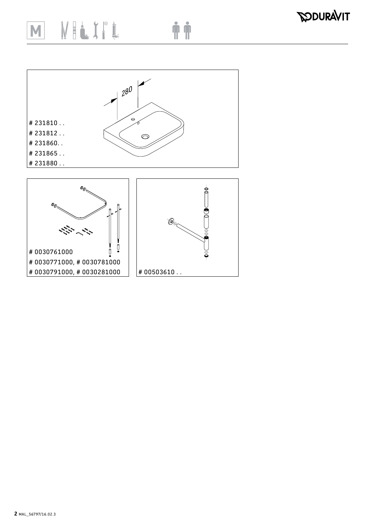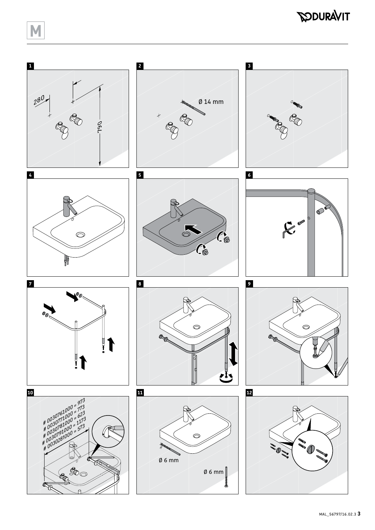## **RODURAVIT**